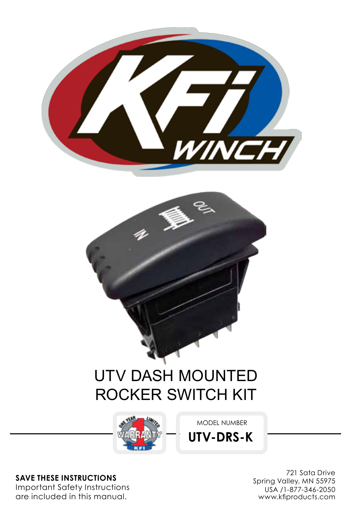

# UTV DASH MOUNTED ROCKER SWITCH KIT



MODEL NUMBER

**UTV-DRS-K**



Important Safety Instructions are included in this manual.

721 Sata Drive Spring Valley, MN 55975 USA /1-877-346-2050 www.kfiproducts.com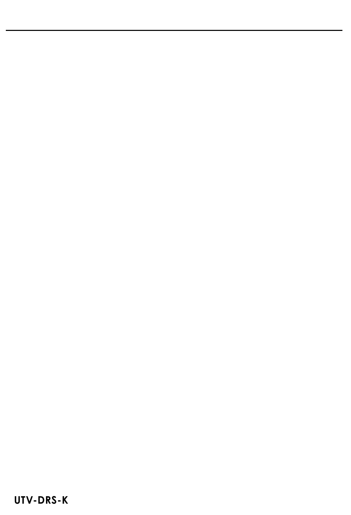**UTV-DRS-K**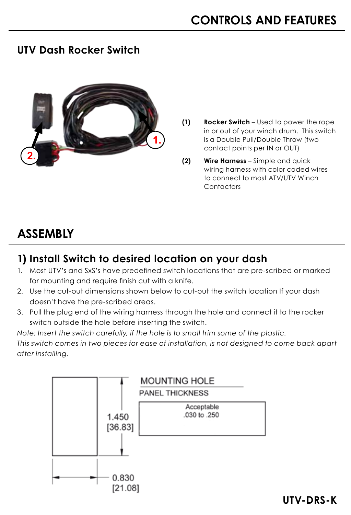#### **UTV Dash Rocker Switch**



- **(1) Rocker Switch**  Used to power the rope in or out of your winch drum. This switch is a Double Pull/Double Throw (two contact points per IN or OUT)
- **(2) Wire Harness** Simple and quick wiring harness with color coded wires to connect to most ATV/UTV Winch **Contactors**

# **ASSEMBLY**

## **1) Install Switch to desired location on your dash**

- 1. Most UTV's and SxS's have predefined switch locations that are pre-scribed or marked for mounting and require finish cut with a knife.
- 2. Use the cut-out dimensions shown below to cut-out the switch location If your dash doesn't have the pre-scribed areas.
- 3. Pull the plug end of the wiring harness through the hole and connect it to the rocker switch outside the hole before inserting the switch.

*Note: Insert the switch carefully, if the hole is to small trim some of the plastic.*

*This switch comes in two pieces for ease of installation, is not designed to come back apart after installing.* 

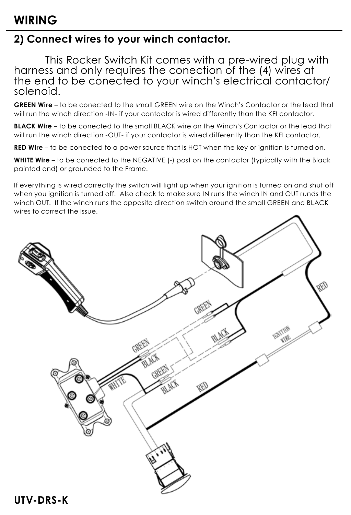# **WIRING**

## **2) Connect wires to your winch contactor.**

This Rocker Switch Kit comes with a pre-wired plug with harness and only requires the conection of the (4) wires at the end to be conected to your winch's electrical contactor/ solenoid.

**GREEN Wire** – to be conected to the small GREEN wire on the Winch's Contactor or the lead that will run the winch direction -IN- if your contactor is wired differently than the KFI contactor.

**BLACK Wire** – to be conected to the small BLACK wire on the Winch's Contactor or the lead that will run the winch direction -OUT- if your contactor is wired differently than the KFI contactor.

**RED Wire** – to be conected to a power source that is HOT when the key or ignition is turned on.

**WHITE Wire** – to be conected to the NEGATIVE (-) post on the contactor (typically with the Black painted end) or grounded to the Frame.

If everything is wired correctly the switch will light up when your ignition is turned on and shut off when you ignition is turned off. Also check to make sure IN runs the winch IN and OUT runds the winch OUT. If the winch runs the opposite direction switch around the small GREEN and BLACK wires to correct the issue.

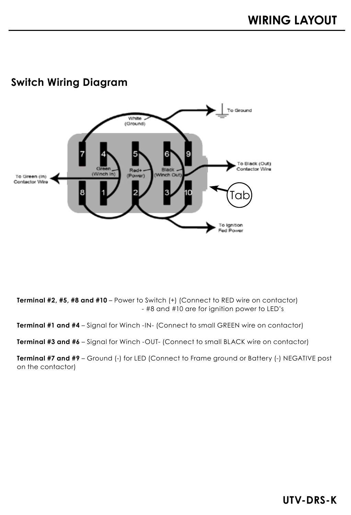### **Switch Wiring Diagram**



**Terminal #2, #5, #8 and #10** – Power to Switch (+) (Connect to RED wire on contactor) - #8 and #10 are for ignition power to LED's

**Terminal #1 and #4** – Signal for Winch -IN- (Connect to small GREEN wire on contactor)

**Terminal #3 and #6** – Signal for Winch -OUT- (Connect to small BLACK wire on contactor)

**Terminal #7 and #9** – Ground (-) for LED (Connect to Frame ground or Battery (-) NEGATIVE post on the contactor)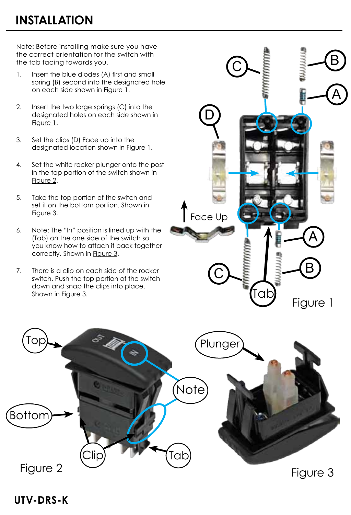Note: Before installing make sure you have the correct orientation for the switch with the tab facing towards you.

- 1. Insert the blue diodes (A) first and small spring (B) second into the designated hole on each side shown in Figure 1.
- 2. Insert the two large springs (C) into the designated holes on each side shown in Figure 1.
- 3. Set the clips (D) Face up into the designated location shown in Figure 1.
- 4. Set the white rocker plunger onto the post in the top portion of the switch shown in Figure 2.
- 5. Take the top portion of the switch and set it on the bottom portion. Shown in Figure 3.
- 6. Note: The "In" position is lined up with the (Tab) on the one side of the switch so you know how to attach it back together correctly. Shown in **Figure 3.**
- 7. There is a clip on each side of the rocker switch. Push the top portion of the switch down and snap the clips into place. Shown in **Figure 3.**



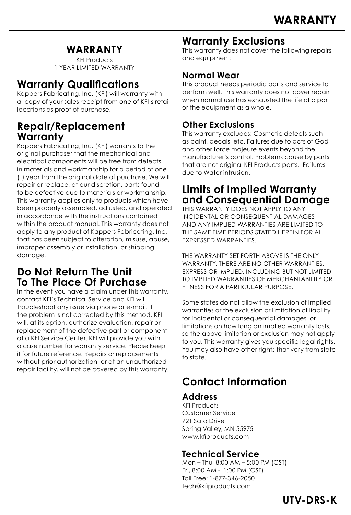#### **WARRANTY**

KFI Products 1 YEAR LIMITED WARRANTY

#### **Warranty Qualifications**

Kappers Fabricating, Inc. (KFI) will warranty with a copy of your sales receipt from one of KFI's retail locations as proof of purchase.

#### **Repair/Replacement Warranty**

Kappers Fabricating, Inc. (KFI) warrants to the original purchaser that the mechanical and electrical components will be free from defects in materials and workmanship for a period of one (1) year from the original date of purchase. We will repair or replace, at our discretion, parts found to be defective due to materials or workmanship. This warranty applies only to products which have been properly assembled, adjusted, and operated in accordance with the instructions contained within the product manual. This warranty does not apply to any product of Kappers Fabricating, Inc. that has been subject to alteration, misuse, abuse, improper assembly or installation, or shipping damage.

#### **Do Not Return The Unit To The Place Of Purchase**

In the event you have a claim under this warranty, contact KFI's Technical Service and KFI will troubleshoot any issue via phone or e-mail. If the problem is not corrected by this method, KFI will, at its option, authorize evaluation, repair or replacement of the defective part or component at a KFI Service Center. KFI will provide you with a case number for warranty service. Please keep it for future reference. Repairs or replacements without prior authorization, or at an unauthorized repair facility, will not be covered by this warranty.

#### **Warranty Exclusions**

This warranty does not cover the following repairs and equipment:

#### **Normal Wear**

This product needs periodic parts and service to perform well. This warranty does not cover repair when normal use has exhausted the life of a part or the equipment as a whole.

#### **Other Exclusions**

This warranty excludes: Cosmetic defects such as paint, decals, etc. Failures due to acts of God and other force majeure events beyond the manufacturer's control. Problems cause by parts that are not original KFI Products parts. Failures due to Water intrusion.

### **Limits of Implied Warranty and Consequential Damage**

THIS WARRANTY DOES NOT APPLY TO ANY INCIDENTAL OR CONSEQUENTIAL DAMAGES AND ANY IMPLIED WARRANTIES ARE LIMITED TO THE SAME TIME PERIODS STATED HEREIN FOR ALL EXPRESSED WARRANTIES.

THE WARRANTY SET FORTH ABOVE IS THE ONLY WARRANTY. THERE ARE NO OTHER WARRANTIES, EXPRESS OR IMPLIED, INCLUDING BUT NOT LIMITED TO IMPLIED WARRANTIES OF MERCHANTABILITY OR FITNESS FOR A PARTICULAR PURPOSE.

Some states do not allow the exclusion of implied warranties or the exclusion or limitation of liability for incidental or consequential damages, or limitations on how long an implied warranty lasts, so the above limitation or exclusion may not apply to you. This warranty gives you specific legal rights. You may also have other rights that vary from state to state.

## **Contact Information**

#### **Address**

KFI Products Customer Service 721 Sata Drive Spring Valley, MN 55975 www.kfiproducts.com

#### **Technical Service**

Mon – Thu, 8:00 AM – 5:00 PM (CST) Fri, 8:00 AM - 1:00 PM (CST) Toll Free: 1-877-346-2050 tech@kfiproducts.com